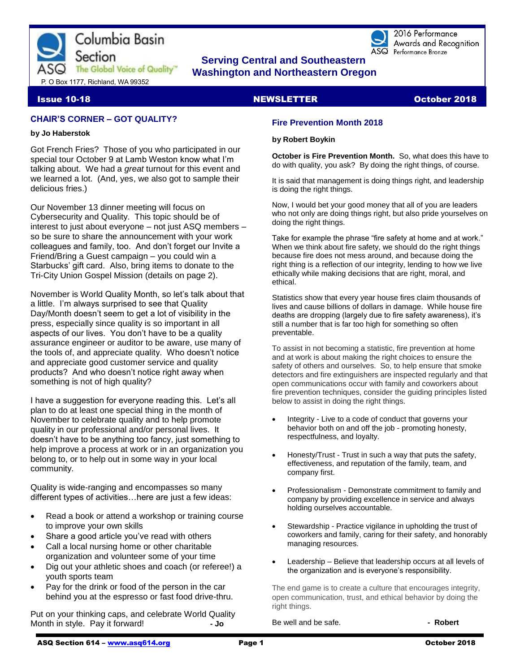

## **EXECTION** Serving Central and Southeastern<br> **The Global Voice of Quality** Mashington and Northeastern Orego  **Washington and Northeastern Oregon**

2016 Performance Awards and Recognition ASQ Performance Bronze

#### **CHAIR'S CORNER – GOT QUALITY?**

#### **by Jo Haberstok**

Got French Fries? Those of you who participated in our special tour October 9 at Lamb Weston know what I'm talking about. We had a *great* turnout for this event and we learned a lot. (And, yes, we also got to sample their delicious fries.)

Our November 13 dinner meeting will focus on Cybersecurity and Quality. This topic should be of interest to just about everyone – not just ASQ members – so be sure to share the announcement with your work colleagues and family, too. And don't forget our Invite a Friend/Bring a Guest campaign – you could win a Starbucks' gift card. Also, bring items to donate to the Tri-City Union Gospel Mission (details on page 2).

November is World Quality Month, so let's talk about that a little. I'm always surprised to see that Quality Day/Month doesn't seem to get a lot of visibility in the press, especially since quality is so important in all aspects of our lives. You don't have to be a quality assurance engineer or auditor to be aware, use many of the tools of, and appreciate quality. Who doesn't notice and appreciate good customer service and quality products? And who doesn't notice right away when something is not of high quality?

I have a suggestion for everyone reading this. Let's all plan to do at least one special thing in the month of November to celebrate quality and to help promote quality in our professional and/or personal lives. It doesn't have to be anything too fancy, just something to help improve a process at work or in an organization you belong to, or to help out in some way in your local community.

Quality is wide-ranging and encompasses so many different types of activities…here are just a few ideas:

- Read a book or attend a workshop or training course to improve your own skills
- Share a good article you've read with others
- Call a local nursing home or other charitable organization and volunteer some of your time
- Dig out your athletic shoes and coach (or referee!) a youth sports team
- Pay for the drink or food of the person in the car behind you at the espresso or fast food drive-thru.

Put on your thinking caps, and celebrate World Quality Month in style. Pay it forward! **- Jo**

### Issue 10-18 NEWSLETTER October 2018

#### **Fire Prevention Month 2018**

#### **by Robert Boykin**

**October is Fire Prevention Month.** So, what does this have to do with quality, you ask? By doing the right things, of course.

It is said that management is doing things right, and leadership is doing the right things.

Now, I would bet your good money that all of you are leaders who not only are doing things right, but also pride yourselves on doing the right things.

Take for example the phrase "fire safety at home and at work." When we think about fire safety, we should do the right things because fire does not mess around, and because doing the right thing is a reflection of our integrity, lending to how we live ethically while making decisions that are right, moral, and ethical.

Statistics show that every year house fires claim thousands of lives and cause billions of dollars in damage. While house fire deaths are dropping (largely due to fire safety awareness), it's still a number that is far too high for something so often preventable.

To assist in not becoming a statistic, fire prevention at home and at work is about making the right choices to ensure the safety of others and ourselves. So, to help ensure that smoke detectors and fire extinguishers are inspected regularly and that open communications occur with family and coworkers about fire prevention techniques, consider the guiding principles listed below to assist in doing the right things.

- Integrity Live to a code of conduct that governs your behavior both on and off the job - promoting honesty, respectfulness, and loyalty.
- Honesty/Trust Trust in such a way that puts the safety, effectiveness, and reputation of the family, team, and company first.
- Professionalism Demonstrate commitment to family and company by providing excellence in service and always holding ourselves accountable.
- Stewardship Practice vigilance in upholding the trust of coworkers and family, caring for their safety, and honorably managing resources.
- Leadership Believe that leadership occurs at all levels of the organization and is everyone's responsibility.

The end game is to create a culture that encourages integrity, open communication, trust, and ethical behavior by doing the right things.

Be well and be safe. **- Account Account Account** be safe.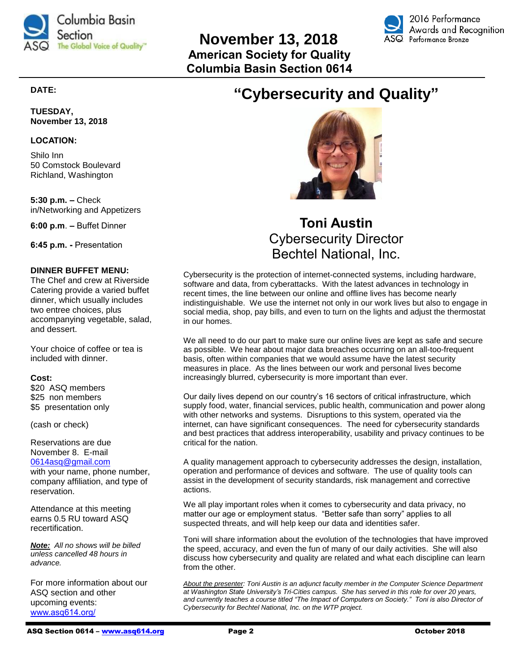

# **November 13, 2018 American Society for Quality Columbia Basin Section 0614**



#### **DATE:**

**TUESDAY, November 13, 2018**

#### **LOCATION:**

Shilo Inn 50 Comstock Boulevard Richland, Washington

**5:30 p.m. –** Check in/Networking and Appetizers

**6:00 p.m**. **–** Buffet Dinner

**6:45 p.m. -** Presentation

#### **DINNER BUFFET MENU:**

The Chef and crew at Riverside Catering provide a varied buffet dinner, which usually includes two entree choices, plus accompanying vegetable, salad, and dessert.

Your choice of coffee or tea is included with dinner.

#### **Cost:**

\$20 ASQ members \$25 non members \$5 presentation only

(cash or check)

Reservations are due November 8. E-mail [0614asq@gmail.com](mailto:0614asq@gmail.com)

with your name, phone number, company affiliation, and type of reservation.

Attendance at this meeting earns 0.5 RU toward ASQ recertification.

*Note: All no shows will be billed unless cancelled 48 hours in advance.*

For more information about our ASQ section and other upcoming events: [www.asq614.org/](http://www.asq614.org/)

# **"Cybersecurity and Quality"**



# **Toni Austin** Cybersecurity Director Bechtel National, Inc.

Cybersecurity is the protection of internet-connected systems, including hardware, software and data, from cyberattacks. With the latest advances in technology in recent times, the line between our online and offline lives has become nearly indistinguishable. We use the internet not only in our work lives but also to engage in social media, shop, pay bills, and even to turn on the lights and adjust the thermostat in our homes.

We all need to do our part to make sure our online lives are kept as safe and secure as possible. We hear about major data breaches occurring on an all-too-frequent basis, often within companies that we would assume have the latest security measures in place. As the lines between our work and personal lives become increasingly blurred, cybersecurity is more important than ever.

Our daily lives depend on our country's 16 sectors of critical infrastructure, which supply food, water, financial services, public health, communication and power along with other networks and systems. Disruptions to this system, operated via the internet, can have significant consequences. The need for cybersecurity standards and best practices that address interoperability, usability and privacy continues to be critical for the nation.

A quality management approach to cybersecurity addresses the design, installation, operation and performance of devices and software. The use of quality tools can assist in the development of security standards, risk management and corrective actions.

We all play important roles when it comes to cybersecurity and data privacy, no matter our age or employment status. "Better safe than sorry" applies to all suspected threats, and will help keep our data and identities safer.

Toni will share information about the evolution of the technologies that have improved the speed, accuracy, and even the fun of many of our daily activities. She will also discuss how cybersecurity and quality are related and what each discipline can learn from the other.

*About the presenter: Toni Austin is an adjunct faculty member in the Computer Science Department at Washington State University's Tri-Cities campus. She has served in this role for over 20 years, and currently teaches a course titled "The Impact of Computers on Society." Toni is also Director of Cybersecurity for Bechtel National, Inc. on the WTP project.*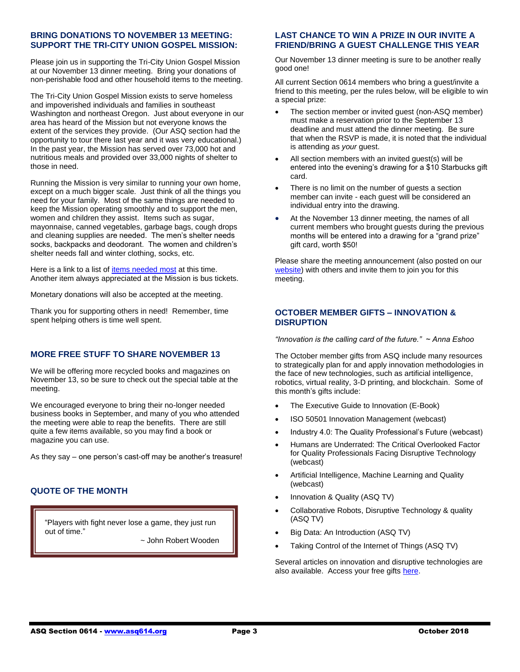#### **BRING DONATIONS TO NOVEMBER 13 MEETING: SUPPORT THE TRI-CITY UNION GOSPEL MISSION:**

Please join us in supporting the Tri-City Union Gospel Mission at our November 13 dinner meeting. Bring your donations of non-perishable food and other household items to the meeting.

The Tri-City Union Gospel Mission exists to serve homeless and impoverished individuals and families in southeast Washington and northeast Oregon. Just about everyone in our area has heard of the Mission but not everyone knows the extent of the services they provide. (Our ASQ section had the opportunity to tour there last year and it was very educational.) In the past year, the Mission has served over 73,000 hot and nutritious meals and provided over 33,000 nights of shelter to those in need.

Running the Mission is very similar to running your own home, except on a much bigger scale. Just think of all the things you need for your family. Most of the same things are needed to keep the Mission operating smoothly and to support the men, women and children they assist. Items such as sugar, mayonnaise, canned vegetables, garbage bags, cough drops and cleaning supplies are needed. The men's shelter needs socks, backpacks and deodorant. The women and children's shelter needs fall and winter clothing, socks, etc.

Here is a link to a list o[f items needed most](http://www.tcugm.org/needs/) at this time. Another item always appreciated at the Mission is bus tickets.

Monetary donations will also be accepted at the meeting.

Thank you for supporting others in need! Remember, time spent helping others is time well spent.

#### **MORE FREE STUFF TO SHARE NOVEMBER 13**

We will be offering more recycled books and magazines on November 13, so be sure to check out the special table at the meeting.

We encouraged everyone to bring their no-longer needed business books in September, and many of you who attended the meeting were able to reap the benefits. There are still quite a few items available, so you may find a book or magazine you can use.

As they say – one person's cast-off may be another's treasure!

#### **QUOTE OF THE MONTH**

"Players with fight never lose a game, they just run out of time."

~ John Robert Wooden

#### **LAST CHANCE TO WIN A PRIZE IN OUR INVITE A FRIEND/BRING A GUEST CHALLENGE THIS YEAR**

Our November 13 dinner meeting is sure to be another really good one!

All current Section 0614 members who bring a guest/invite a friend to this meeting, per the rules below, will be eligible to win a special prize:

- The section member or invited guest (non-ASQ member) must make a reservation prior to the September 13 deadline and must attend the dinner meeting. Be sure that when the RSVP is made, it is noted that the individual is attending as *your* guest.
- All section members with an invited guest(s) will be entered into the evening's drawing for a \$10 Starbucks gift card.
- There is no limit on the number of guests a section member can invite - each guest will be considered an individual entry into the drawing.
- At the November 13 dinner meeting, the names of all current members who brought guests during the previous months will be entered into a drawing for a "grand prize" gift card, worth \$50!

Please share the meeting announcement (also posted on our [website\)](http://www.asq614.org/programs/program1811.pdf) with others and invite them to join you for this meeting.

#### **OCTOBER MEMBER GIFTS – INNOVATION & DISRUPTION**

*"Innovation is the calling card of the future." ~ Anna Eshoo* 

The October member gifts from ASQ include many resources to strategically plan for and apply innovation methodologies in the face of new technologies, such as artificial intelligence, robotics, virtual reality, 3-D printing, and blockchain. Some of this month's gifts include:

- The Executive Guide to Innovation (E-Book)
- ISO 50501 Innovation Management (webcast)
- Industry 4.0: The Quality Professional's Future (webcast)
- Humans are Underrated: The Critical Overlooked Factor for Quality Professionals Facing Disruptive Technology (webcast)
- Artificial Intelligence, Machine Learning and Quality (webcast)
- Innovation & Quality (ASQ TV)
- Collaborative Robots, Disruptive Technology & quality (ASQ TV)
- Big Data: An Introduction (ASQ TV)
- Taking Control of the Internet of Things (ASQ TV)

Several articles on innovation and disruptive technologies are also available. Access your free gift[s here.](http://asq.org/membership/members/gift/?utm_source=email&utm_medium=email&utm_campaign=marketing_octobermembergift_100118)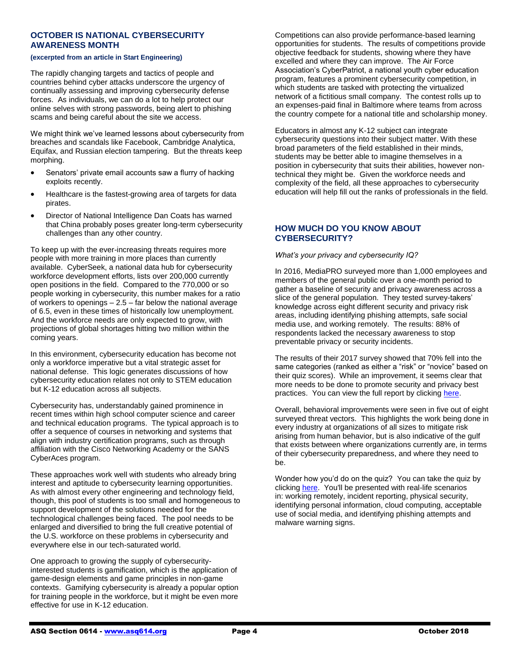#### **OCTOBER IS NATIONAL CYBERSECURITY AWARENESS MONTH**

#### **(excerpted from an article in Start Engineering)**

The rapidly changing targets and tactics of people and countries behind cyber attacks underscore the urgency of continually assessing and improving cybersecurity defense forces. As individuals, we can do a lot to help protect our online selves with strong passwords, being alert to phishing scams and being careful about the site we access.

We might think we've learned lessons about cybersecurity from breaches and scandals like Facebook, Cambridge Analytica, Equifax, and Russian election tampering. But the threats keep morphing.

- Senators' private email accounts saw a flurry of hacking exploits recently.
- Healthcare is the fastest-growing area of targets for data pirates.
- Director of National Intelligence Dan Coats has warned that China probably poses greater long-term cybersecurity challenges than any other country.

To keep up with the ever-increasing threats requires more people with more training in more places than currently available. CyberSeek, a national data hub for cybersecurity workforce development efforts, lists over 200,000 currently open positions in the field. Compared to the 770,000 or so people working in cybersecurity, this number makes for a ratio of workers to openings – 2.5 – far below the national average of 6.5, even in these times of historically low unemployment. And the workforce needs are only expected to grow, with projections of global shortages hitting two million within the coming years.

In this environment, cybersecurity education has become not only a workforce imperative but a vital strategic asset for national defense. This logic generates discussions of how cybersecurity education relates not only to STEM education but K-12 education across all subjects.

Cybersecurity has, understandably gained prominence in recent times within high school computer science and career and technical education programs. The typical approach is to offer a sequence of courses in networking and systems that align with industry certification programs, such as through affiliation with the Cisco Networking Academy or the SANS CyberAces program.

These approaches work well with students who already bring interest and aptitude to cybersecurity learning opportunities. As with almost every other engineering and technology field, though, this pool of students is too small and homogeneous to support development of the solutions needed for the technological challenges being faced. The pool needs to be enlarged and diversified to bring the full creative potential of the U.S. workforce on these problems in cybersecurity and everywhere else in our tech-saturated world.

One approach to growing the supply of cybersecurityinterested students is gamification, which is the application of game-design elements and game principles in non-game contexts. Gamifying cybersecurity is already a popular option for training people in the workforce, but it might be even more effective for use in K-12 education.

Competitions can also provide performance-based learning opportunities for students. The results of competitions provide objective feedback for students, showing where they have excelled and where they can improve. The Air Force Association's CyberPatriot, a national youth cyber education program, features a prominent cybersecurity competition, in which students are tasked with protecting the virtualized network of a fictitious small company. The contest rolls up to an expenses-paid final in Baltimore where teams from across the country compete for a national title and scholarship money.

Educators in almost any K-12 subject can integrate cybersecurity questions into their subject matter. With these broad parameters of the field established in their minds, students may be better able to imagine themselves in a position in cybersecurity that suits their abilities, however nontechnical they might be. Given the workforce needs and complexity of the field, all these approaches to cybersecurity education will help fill out the ranks of professionals in the field.

#### **HOW MUCH DO YOU KNOW ABOUT CYBERSECURITY?**

*What's your privacy and cybersecurity IQ?*

In 2016, MediaPRO surveyed more than 1,000 employees and members of the general public over a one-month period to gather a baseline of security and privacy awareness across a slice of the general population. They tested survey-takers' knowledge across eight different security and privacy risk areas, including identifying phishing attempts, safe social media use, and working remotely. The results: 88% of respondents lacked the necessary awareness to stop preventable privacy or security incidents.

The results of their 2017 survey showed that 70% fell into the same categories (ranked as either a "risk" or "novice" based on their quiz scores). While an improvement, it seems clear that more needs to be done to promote security and privacy best practices. You can view the full report by clicking [here.](https://www.mediapro.com/blog/2017-state-privacy-security-awareness-report/)

Overall, behavioral improvements were seen in five out of eight surveyed threat vectors. This highlights the work being done in every industry at organizations of all sizes to mitigate risk arising from human behavior, but is also indicative of the gulf that exists between where organizations currently are, in terms of their cybersecurity preparedness, and where they need to be.

Wonder how you'd do on the quiz? You can take the quiz by clicking [here.](https://pages.mediapro.com/2017-State-of-Privacy-Security-Awareness.html) You'll be presented with real-life scenarios in: working remotely, incident reporting, physical security, identifying personal information, cloud computing, acceptable use of social media, and identifying phishing attempts and malware warning signs.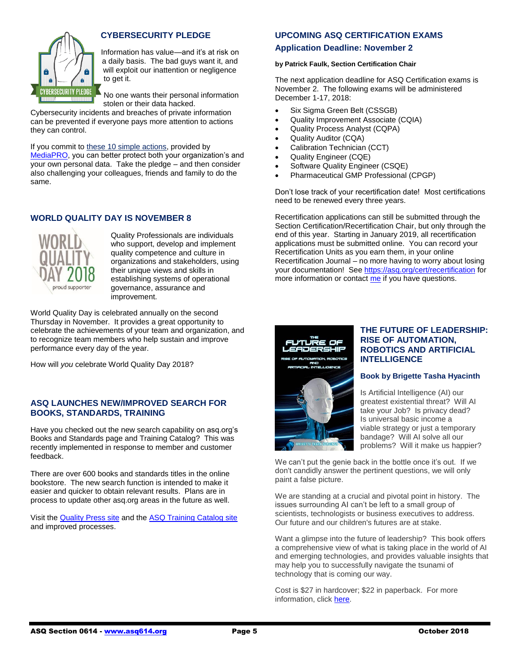

#### **CYBERSECURITY PLEDGE**

Information has value—and it's at risk on a daily basis. The bad guys want it, and will exploit our inattention or negligence to get it.

No one wants their personal information stolen or their data hacked.

Cybersecurity incidents and breaches of private information can be prevented if everyone pays more attention to actions they can control.

If you commit to [these 10 simple actions,](https://pages.mediapro.com/rs/889-LYM-560/images/CyberSecurityPledge_2x1.jpg) provided by [MediaPRO,](https://www.mediapro.com/blog/mediapro-cybersecurity-pledge/) you can better protect both your organization's and your own personal data. Take the pledge – and then consider also challenging your colleagues, friends and family to do the same.

#### **WORLD QUALITY DAY IS NOVEMBER 8**



Quality Professionals are individuals who support, develop and implement quality competence and culture in organizations and stakeholders, using their unique views and skills in establishing systems of operational governance, assurance and improvement.

World Quality Day is celebrated annually on the second Thursday in November. It provides a great opportunity to celebrate the achievements of your team and organization, and to recognize team members who help sustain and improve performance every day of the year.

How will *you* celebrate World Quality Day 2018?

#### **ASQ LAUNCHES NEW/IMPROVED SEARCH FOR BOOKS, STANDARDS, TRAINING**

Have you checked out the new search capability on asq.org's Books and Standards page and Training Catalog? This was recently implemented in response to member and customer feedback.

There are over 600 books and standards titles in the online bookstore. The new search function is intended to make it easier and quicker to obtain relevant results. Plans are in process to update other asq.org areas in the future as well.

Visit th[e Quality Press site](https://www.asq.org/quality-press) and th[e ASQ Training Catalog site](http://www.asq.org/training/catalog) and improved processes.

#### **UPCOMING ASQ CERTIFICATION EXAMS**

#### **Application Deadline: November 2**

#### **by Patrick Faulk, Section Certification Chair**

The next application deadline for ASQ Certification exams is November 2. The following exams will be administered December 1-17, 2018:

- Six Sigma Green Belt (CSSGB)
- Quality Improvement Associate (CQIA)
- Quality Process Analyst (CQPA)
- Quality Auditor (CQA)
- Calibration Technician (CCT)
- Quality Engineer (CQE)
- Software Quality Engineer (CSQE)
- Pharmaceutical GMP Professional (CPGP)

Don't lose track of your recertification date! Most certifications need to be renewed every three years.

Recertification applications can still be submitted through the Section Certification/Recertification Chair, but only through the end of this year. Starting in January 2019, all recertification applications must be submitted online. You can record your Recertification Units as you earn them, in your online Recertification Journal – no more having to worry about losing your documentation! See<https://asq.org/cert/recertification> for more information or contact [me](mailto:PRFAULK@bechtel.com) if you have questions.



#### **THE FUTURE OF LEADERSHIP: RISE OF AUTOMATION, ROBOTICS AND ARTIFICIAL INTELLIGENCE**

#### **Book by Brigette Tasha Hyacinth**

Is Artificial Intelligence (AI) our greatest existential threat? Will AI take your Job? Is privacy dead? Is universal basic income a viable strategy or just a temporary bandage? Will AI solve all our problems? Will it make us happier?

We can't put the genie back in the bottle once it's out. If we don't candidly answer the pertinent questions, we will only paint a false picture.

We are standing at a crucial and pivotal point in history. The issues surrounding AI can't be left to a small group of scientists, technologists or business executives to address. Our future and our children's futures are at stake.

Want a glimpse into the future of leadership? This book offers a comprehensive view of what is taking place in the world of AI and emerging technologies, and provides valuable insights that may help you to successfully navigate the tsunami of technology that is coming our way.

Cost is \$27 in hardcover; \$22 in paperback. For more information, clic[k here.](https://www.amazon.com/Future-Leadership-Automation-Artificial-Intelligence/dp/976960920X/ref=tmm_hrd_swatch_0?_encoding=UTF8&qid=&sr=)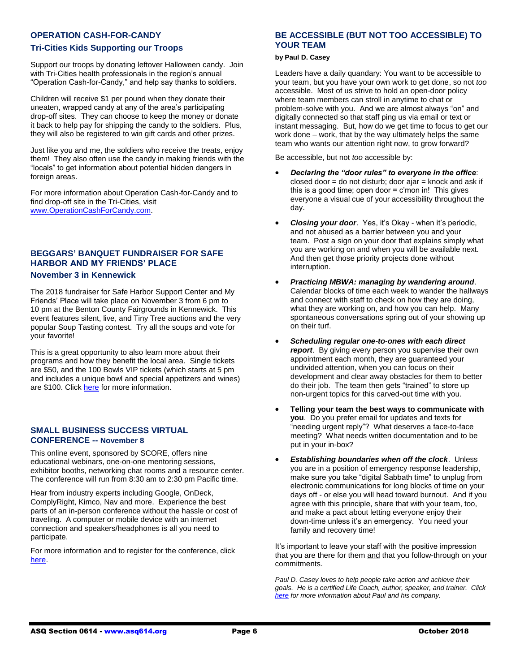#### **OPERATION CASH-FOR-CANDY**

#### **Tri-Cities Kids Supporting our Troops**

Support our troops by donating leftover Halloween candy. Join with Tri-Cities health professionals in the region's annual "Operation Cash-for-Candy," and help say thanks to soldiers.

Children will receive \$1 per pound when they donate their uneaten, wrapped candy at any of the area's participating drop-off sites. They can choose to keep the money or donate it back to help pay for shipping the candy to the soldiers. Plus, they will also be registered to win gift cards and other prizes.

Just like you and me, the soldiers who receive the treats, enjoy them! They also often use the candy in making friends with the "locals" to get information about potential hidden dangers in foreign areas.

For more information about Operation Cash-for-Candy and to find drop-off site in the Tri-Cities, visit [www.OperationCashForCandy.com.](http://www.operationcashforcandy.com/)

### **BEGGARS' BANQUET FUNDRAISER FOR SAFE HARBOR AND MY FRIENDS' PLACE**

#### **November 3 in Kennewick**

The 2018 fundraiser for Safe Harbor Support Center and My Friends' Place will take place on November 3 from 6 pm to 10 pm at the Benton County Fairgrounds in Kennewick. This event features silent, live, and Tiny Tree auctions and the very popular Soup Tasting contest. Try all the soups and vote for your favorite!

This is a great opportunity to also learn more about their programs and how they benefit the local area. Single tickets are \$50, and the 100 Bowls VIP tickets (which starts at 5 pm and includes a unique bowl and special appetizers and wines) are \$100. Click [here](http://safeharborsara.wixsite.com/safeharbor) for more information.

#### **SMALL BUSINESS SUCCESS VIRTUAL CONFERENCE -- November 8**

This online event, sponsored by SCORE, offers nine educational webinars, one-on-one mentoring sessions, exhibitor booths, networking chat rooms and a resource center. The conference will run from 8:30 am to 2:30 pm Pacific time.

Hear from industry experts including Google, OnDeck, ComplyRight, Kimco, Nav and more. Experience the best parts of an in-person conference without the hassle or cost of traveling. A computer or mobile device with an internet connection and speakers/headphones is all you need to participate.

For more information and to register for the conference, click [here.](https://onlinexperiences.com/scripts/Server.nxp?LASCmd=AI:4;F:QS!10100&ShowUUID=EF5B1593-A5A3-44E1-8C2E-1F0CF254A2FF&AffiliateData=scorewebsite)

#### **BE ACCESSIBLE (BUT NOT TOO ACCESSIBLE) TO YOUR TEAM**

#### **by Paul D. Casey**

Leaders have a daily quandary: You want to be accessible to your team, but you have your own work to get done, so not *too* accessible. Most of us strive to hold an open-door policy where team members can stroll in anytime to chat or problem-solve with you. And we are almost always "on" and digitally connected so that staff ping us via email or text or instant messaging. But, how do we get time to focus to get our work done – work, that by the way ultimately helps the same team who wants our attention right now, to grow forward?

Be accessible, but not *too* accessible by:

- *Declaring the "door rules" to everyone in the office*:  $closed door = do not disturb; door ajar = knock and ask if$ this is a good time; open door  $= c$ 'mon in! This gives everyone a visual cue of your accessibility throughout the day.
- *Closing your door*. Yes, it's Okay when it's periodic, and not abused as a barrier between you and your team. Post a sign on your door that explains simply what you are working on and when you will be available next. And then get those priority projects done without interruption.
- *Practicing MBWA: managing by wandering around*. Calendar blocks of time each week to wander the hallways and connect with staff to check on how they are doing, what they are working on, and how you can help. Many spontaneous conversations spring out of your showing up on their turf.
- *Scheduling regular one-to-ones with each direct report*. By giving every person you supervise their own appointment each month, they are guaranteed your undivided attention, when you can focus on their development and clear away obstacles for them to better do their job. The team then gets "trained" to store up non-urgent topics for this carved-out time with you.
- **Telling your team the best ways to communicate with you**. Do you prefer email for updates and texts for "needing urgent reply"? What deserves a face-to-face meeting? What needs written documentation and to be put in your in-box?
- *Establishing boundaries when off the clock*. Unless you are in a position of emergency response leadership, make sure you take "digital Sabbath time" to unplug from electronic communications for long blocks of time on your days off - or else you will head toward burnout. And if you agree with this principle, share that with your team, too, and make a pact about letting everyone enjoy their down-time unless it's an emergency. You need your family and recovery time!

It's important to leave your staff with the positive impression that you are there for them and that you follow-through on your commitments.

*Paul D. Casey loves to help people take action and achieve their goals. He is a certified Life Coach, author, speaker, and trainer. Click [here](http://www.paulcasey.org/) for more information about Paul and his company.*